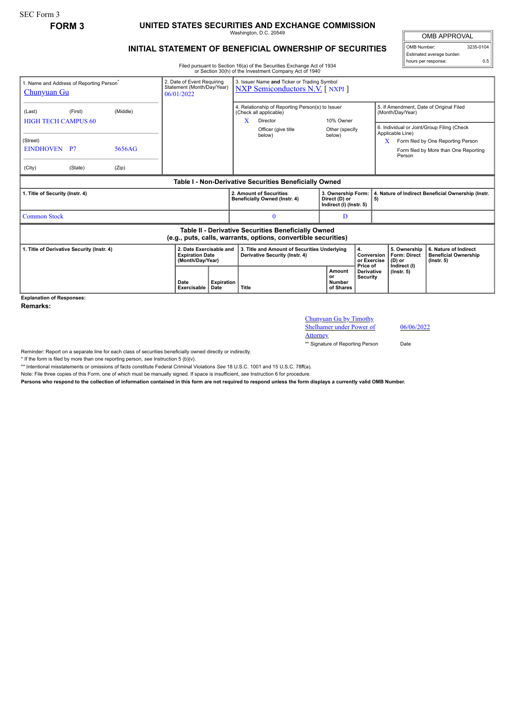## **FORM 3 UNITED STATES SECURITIES AND EXCHANGE COMMISSION**

Washington, D.C. 20549

## **INITIAL STATEMENT OF BENEFICIAL OWNERSHIP OF SECURITIES**

Filed pursuant to Section 16(a) of the Securities Exchange Act of 1934 or Section 30(h) of the Investment Company Act of 1940

OMB APPROVAL OMB Number: 3235-0104 Estimated average burden hours per response: 0.5

| 1. Name and Address of Reporting Person<br><u>Chunyuan Gu</u>                                                         |                                                   |                 | 2. Date of Event Requiring<br>Statement (Month/Day/Year)<br>06/01/2022 |                                                                       | 3. Issuer Name and Ticker or Trading Symbol<br><b>NXP Semiconductors N.V.</b> [ NXPI ]                                       |                                                                                |                                                                |                                            |                                                  |                                                                                                                               |                                                                 |                                                                         |
|-----------------------------------------------------------------------------------------------------------------------|---------------------------------------------------|-----------------|------------------------------------------------------------------------|-----------------------------------------------------------------------|------------------------------------------------------------------------------------------------------------------------------|--------------------------------------------------------------------------------|----------------------------------------------------------------|--------------------------------------------|--------------------------------------------------|-------------------------------------------------------------------------------------------------------------------------------|-----------------------------------------------------------------|-------------------------------------------------------------------------|
| (Last)                                                                                                                | (First)<br>(Middle)<br><b>HIGH TECH CAMPUS 60</b> |                 |                                                                        |                                                                       | 4. Relationship of Reporting Person(s) to Issuer<br>(Check all applicable)<br>X<br>Director<br>Officer (give title<br>below) |                                                                                | 10% Owner<br>Other (specify<br>below)                          |                                            |                                                  | 5. If Amendment, Date of Original Filed<br>(Month/Day/Year)<br>6. Individual or Joint/Group Filing (Check<br>Applicable Line) |                                                                 |                                                                         |
| (Street)<br>EINDHOVEN P7<br>(City)                                                                                    | (State)                                           | 5656AG<br>(Zip) |                                                                        |                                                                       |                                                                                                                              |                                                                                |                                                                |                                            |                                                  | Form filed by One Reporting Person<br>X.<br>Form filed by More than One Reporting<br>Person                                   |                                                                 |                                                                         |
| Table I - Non-Derivative Securities Beneficially Owned                                                                |                                                   |                 |                                                                        |                                                                       |                                                                                                                              |                                                                                |                                                                |                                            |                                                  |                                                                                                                               |                                                                 |                                                                         |
| 1. Title of Security (Instr. 4)                                                                                       |                                                   |                 |                                                                        |                                                                       | 2. Amount of Securities<br>Beneficially Owned (Instr. 4)                                                                     |                                                                                | 3. Ownership Form:<br>Direct (D) or<br>Indirect (I) (Instr. 5) |                                            |                                                  | 4. Nature of Indirect Beneficial Ownership (Instr.<br>5)                                                                      |                                                                 |                                                                         |
| <b>Common Stock</b>                                                                                                   |                                                   |                 |                                                                        |                                                                       | D                                                                                                                            |                                                                                |                                                                |                                            |                                                  |                                                                                                                               |                                                                 |                                                                         |
| Table II - Derivative Securities Beneficially Owned<br>(e.g., puts, calls, warrants, options, convertible securities) |                                                   |                 |                                                                        |                                                                       |                                                                                                                              |                                                                                |                                                                |                                            |                                                  |                                                                                                                               |                                                                 |                                                                         |
| 1. Title of Derivative Security (Instr. 4)                                                                            |                                                   |                 |                                                                        | 2. Date Exercisable and<br><b>Expiration Date</b><br>(Month/Day/Year) |                                                                                                                              | 3. Title and Amount of Securities Underlying<br>Derivative Security (Instr. 4) |                                                                |                                            | 4.<br>Conversion<br>or Exercise                  |                                                                                                                               | 5. Ownership<br><b>Form: Direct</b><br>$(D)$ or<br>Indirect (I) | 6. Nature of Indirect<br><b>Beneficial Ownership</b><br>$($ Instr. $5)$ |
|                                                                                                                       |                                                   |                 | Date<br>Exercisable                                                    | <b>Expiration</b><br>Date                                             | Title                                                                                                                        |                                                                                |                                                                | Amount<br>or<br><b>Number</b><br>of Shares | Price of<br><b>Derivative</b><br><b>Security</b> | $($ lnstr. 5 $)$                                                                                                              |                                                                 |                                                                         |

**Explanation of Responses:**

**Remarks:**

## Chunyuan Gu by Timothy Shelhamer under Power of Attorney

06/06/2022

\*\* Signature of Reporting Person Date

Reminder: Report on a separate line for each class of securities beneficially owned directly or indirectly.

\* If the form is filed by more than one reporting person, *see* Instruction 5 (b)(v).

\*\* Intentional misstatements or omissions of facts constitute Federal Criminal Violations *See* 18 U.S.C. 1001 and 15 U.S.C. 78ff(a).

Note: File three copies of this Form, one of which must be manually signed. If space is insufficient, *see* Instruction 6 for procedure.

**Persons who respond to the collection of information contained in this form are not required to respond unless the form displays a currently valid OMB Number.**